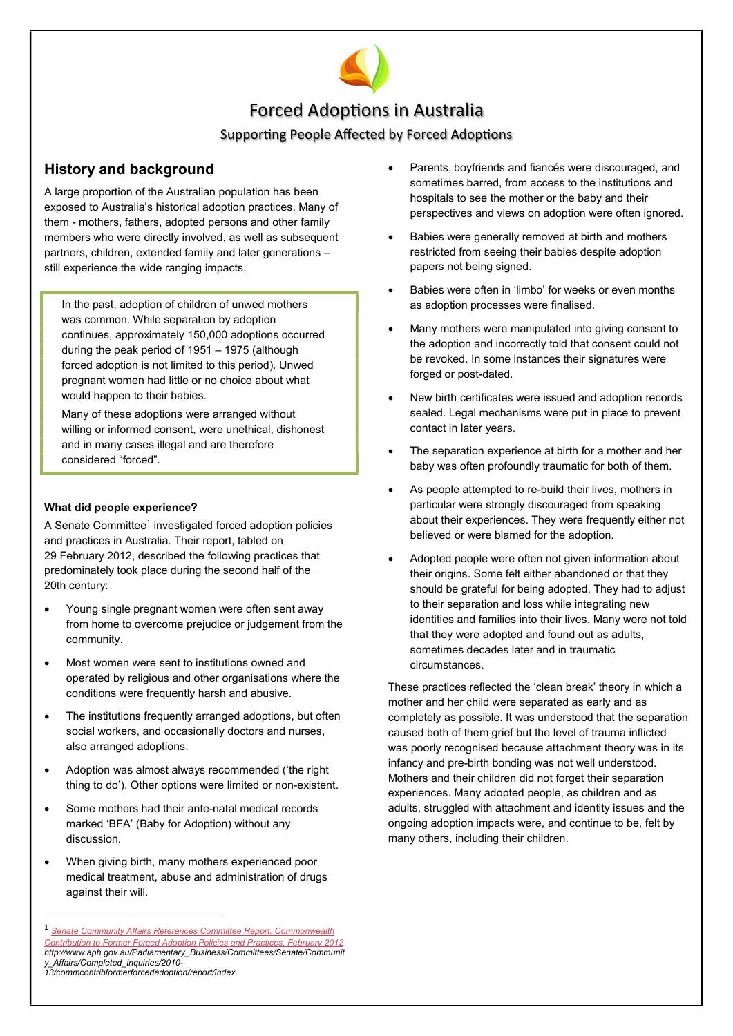

# Forced Adoptions in Australia

# Supporting People Affected by Forced Adoptions

# History and background

A large proportion of the Australian population has been exposed to Australia's historical adoption practices. Many of them - mothers, fathers, adopted persons and other family members who were directly involved, as well as subsequent partners, children, extended family and later generations – still experience the wide ranging impacts.

In the past, adoption of children of unwed mothers was common. While separation by adoption continues, approximately 150,000 adoptions occurred during the peak period of 1951 – 1975 (although forced adoption is not limited to this period). Unwed pregnant women had little or no choice about what would happen to their babies.

Many of these adoptions were arranged without willing or informed consent, were unethical, dishonest and in many cases illegal and are therefore considered "forced".

## What did people experience?

A Senate Committee<sup>1</sup> investigated forced adoption policies and practices in Australia. Their report, tabled on 29 February 2012, described the following practices that predominately took place during the second half of the 20th century:

- Young single pregnant women were often sent away from home to overcome prejudice or judgement from the community.
- Most women were sent to institutions owned and operated by religious and other organisations where the conditions were frequently harsh and abusive.
- The institutions frequently arranged adoptions, but often social workers, and occasionally doctors and nurses, also arranged adoptions.
- Adoption was almost always recommended ('the right thing to do'). Other options were limited or non-existent.
- Some mothers had their ante-natal medical records marked 'BFA' (Baby for Adoption) without any discussion.
- When giving birth, many mothers experienced poor medical treatment, abuse and administration of drugs against their will.

-

- Parents, boyfriends and fiancés were discouraged, and sometimes barred, from access to the institutions and hospitals to see the mother or the baby and their perspectives and views on adoption were often ignored.
- Babies were generally removed at birth and mothers restricted from seeing their babies despite adoption papers not being signed.
- Babies were often in 'limbo' for weeks or even months as adoption processes were finalised.
- Many mothers were manipulated into giving consent to the adoption and incorrectly told that consent could not be revoked. In some instances their signatures were forged or post-dated.
- New birth certificates were issued and adoption records sealed. Legal mechanisms were put in place to prevent contact in later years.
- The separation experience at birth for a mother and her baby was often profoundly traumatic for both of them.
- As people attempted to re-build their lives, mothers in particular were strongly discouraged from speaking about their experiences. They were frequently either not believed or were blamed for the adoption.
- Adopted people were often not given information about their origins. Some felt either abandoned or that they should be grateful for being adopted. They had to adjust to their separation and loss while integrating new identities and families into their lives. Many were not told that they were adopted and found out as adults, sometimes decades later and in traumatic circumstances.

These practices reflected the 'clean break' theory in which a mother and her child were separated as early and as completely as possible. It was understood that the separation caused both of them grief but the level of trauma inflicted was poorly recognised because attachment theory was in its infancy and pre-birth bonding was not well understood. Mothers and their children did not forget their separation experiences. Many adopted people, as children and as adults, struggled with attachment and identity issues and the ongoing adoption impacts were, and continue to be, felt by many others, including their children.

Senate Community Affairs References Committee Report, Commonwealth Contribution to Former Forced Adoption Policies and Practices, February 201 http://www.aph.gov.au/Parliamentary\_Business/Committees/Senate/Communit y\_Affairs/Completed\_inquiries/2010- 13/commcontribformerforcedadoption/report/index